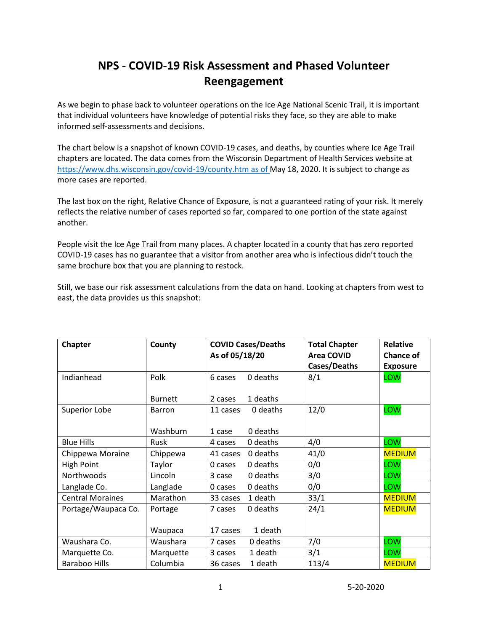# **NPS - COVID-19 Risk Assessment and Phased Volunteer Reengagement**

As we begin to phase back to volunteer operations on the Ice Age National Scenic Trail, it is important that individual volunteers have knowledge of potential risks they face, so they are able to make informed self-assessments and decisions.

The chart below is a snapshot of known COVID-19 cases, and deaths, by counties where Ice Age Trail chapters are located. The data comes from the Wisconsin Department of Health Services website at [https://www.dhs.wisconsin.gov/covid-19/county.htm as of M](https://www.dhs.wisconsin.gov/covid-19/county.htm%20as%20of)ay 18, 2020. It is subject to change as more cases are reported.

The last box on the right, Relative Chance of Exposure, is not a guaranteed rating of your risk. It merely reflects the relative number of cases reported so far, compared to one portion of the state against another.

People visit the Ice Age Trail from many places. A chapter located in a county that has zero reported COVID-19 cases has no guarantee that a visitor from another area who is infectious didn't touch the same brochure box that you are planning to restock.

Still, we base our risk assessment calculations from the data on hand. Looking at chapters from west to east, the data provides us this snapshot:

| <b>Chapter</b>          | County         | <b>COVID Cases/Deaths</b> |          | <b>Total Chapter</b> | <b>Relative</b>  |
|-------------------------|----------------|---------------------------|----------|----------------------|------------------|
|                         |                | As of 05/18/20            |          | <b>Area COVID</b>    | <b>Chance of</b> |
|                         |                |                           |          | Cases/Deaths         | <b>Exposure</b>  |
| Indianhead              | Polk           | 6 cases                   | 0 deaths | 8/1                  | LOW              |
|                         |                |                           |          |                      |                  |
|                         | <b>Burnett</b> | 2 cases                   | 1 deaths |                      |                  |
| Superior Lobe           | Barron         | 11 cases                  | 0 deaths | 12/0                 | LOW              |
|                         |                |                           |          |                      |                  |
|                         | Washburn       | 1 case                    | 0 deaths |                      |                  |
| <b>Blue Hills</b>       | <b>Rusk</b>    | 4 cases                   | 0 deaths | 4/0                  | LOW              |
| Chippewa Moraine        | Chippewa       | 41 cases                  | 0 deaths | 41/0                 | <b>MEDIUM</b>    |
| High Point              | Taylor         | 0 cases                   | 0 deaths | 0/0                  | LOW              |
| Northwoods              | Lincoln        | 3 case                    | 0 deaths | 3/0                  | LOW              |
| Langlade Co.            | Langlade       | 0 cases                   | 0 deaths | 0/0                  | LOW              |
| <b>Central Moraines</b> | Marathon       | 33 cases                  | 1 death  | 33/1                 | <b>MEDIUM</b>    |
| Portage/Waupaca Co.     | Portage        | 7 cases                   | 0 deaths | 24/1                 | <b>MEDIUM</b>    |
|                         |                |                           |          |                      |                  |
|                         | Waupaca        | 17 cases                  | 1 death  |                      |                  |
| Waushara Co.            | Waushara       | 7 cases                   | 0 deaths | 7/0                  | LOW              |
| Marquette Co.           | Marquette      | 3 cases                   | 1 death  | 3/1                  | LOW              |
| <b>Baraboo Hills</b>    | Columbia       | 36 cases                  | 1 death  | 113/4                | <b>MEDIUM</b>    |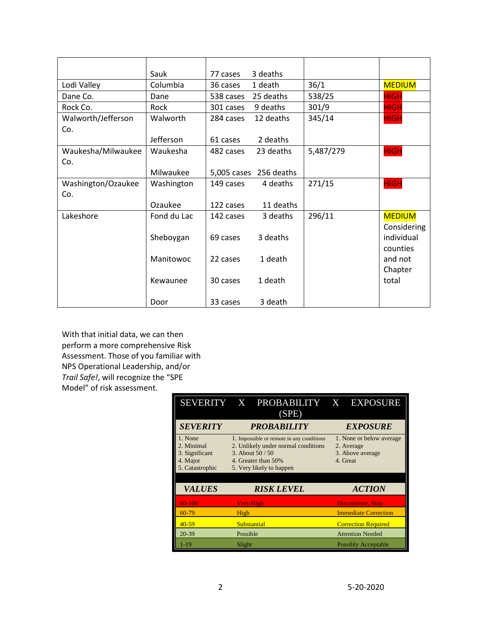|                    | Sauk        | 77 cases  | 3 deaths               |           |               |
|--------------------|-------------|-----------|------------------------|-----------|---------------|
| Lodi Valley        | Columbia    | 36 cases  | 1 death                | 36/1      | <b>MEDIUM</b> |
| Dane Co.           | Dane        | 538 cases | 25 deaths              | 538/25    | <b>HIGH</b>   |
| Rock Co.           | Rock        | 301 cases | 9 deaths               | 301/9     | <b>HIGH</b>   |
| Walworth/Jefferson | Walworth    | 284 cases | 12 deaths              | 345/14    | <b>HIGH</b>   |
| Co.                |             |           |                        |           |               |
|                    | Jefferson   | 61 cases  | 2 deaths               |           |               |
| Waukesha/Milwaukee | Waukesha    | 482 cases | 23 deaths              | 5,487/279 | <b>HIGH</b>   |
| Co.                |             |           |                        |           |               |
|                    | Milwaukee   |           | 5,005 cases 256 deaths |           |               |
| Washington/Ozaukee | Washington  | 149 cases | 4 deaths               | 271/15    | <b>HIGH</b>   |
| Co.                |             |           |                        |           |               |
|                    | Ozaukee     | 122 cases | 11 deaths              |           |               |
| Lakeshore          | Fond du Lac | 142 cases | 3 deaths               | 296/11    | <b>MEDIUM</b> |
|                    |             |           |                        |           | Considering   |
|                    | Sheboygan   | 69 cases  | 3 deaths               |           | individual    |
|                    |             |           |                        |           | counties      |
|                    | Manitowoc   | 22 cases  | 1 death                |           | and not       |
|                    |             |           |                        |           | Chapter       |
|                    | Kewaunee    | 30 cases  | 1 death                |           | total         |
|                    | Door        | 33 cases  | 3 death                |           |               |

With that initial data, we can then perform a more comprehensive Risk Assessment. Those of you familiar with NPS Operational Leadership, and/or *Trail Safe!*, will recognize the "SPE Model" of risk assessment.

|                                                                        | SEVERITY X PROBABILITY X EXPOSURE<br>(SPE)                                                                                                              |                                                                        |  |  |
|------------------------------------------------------------------------|---------------------------------------------------------------------------------------------------------------------------------------------------------|------------------------------------------------------------------------|--|--|
| <b>SEVERITY</b>                                                        | <b>PROBABILITY</b>                                                                                                                                      | <b>EXPOSURE</b>                                                        |  |  |
| 1. None<br>2. Minimal<br>3. Significant<br>4. Major<br>5. Catastrophic | 1. Impossible or remote in any conditions<br>2. Unlikely under normal conditions<br>3. About $50/50$<br>4. Greater than 50%<br>5. Very likely to happen | 1. None or below average<br>2. Average<br>3. Above average<br>4. Great |  |  |
| <b>VALUES</b>                                                          | <b>RISK LEVEL</b>                                                                                                                                       | <b>ACTION</b>                                                          |  |  |
| 80-100                                                                 | <b>Very High</b>                                                                                                                                        | <b>Discontinue, Stop</b>                                               |  |  |
| $60 - 79$                                                              | High                                                                                                                                                    | <b>Immediate Correction</b>                                            |  |  |
| $40 - 59$                                                              | Substantial                                                                                                                                             | <b>Correction Required</b>                                             |  |  |
| $20 - 39$                                                              | Possible                                                                                                                                                | <b>Attention Needed</b>                                                |  |  |
| $1 - 19$                                                               | Slight                                                                                                                                                  | <b>Possibly Acceptable</b>                                             |  |  |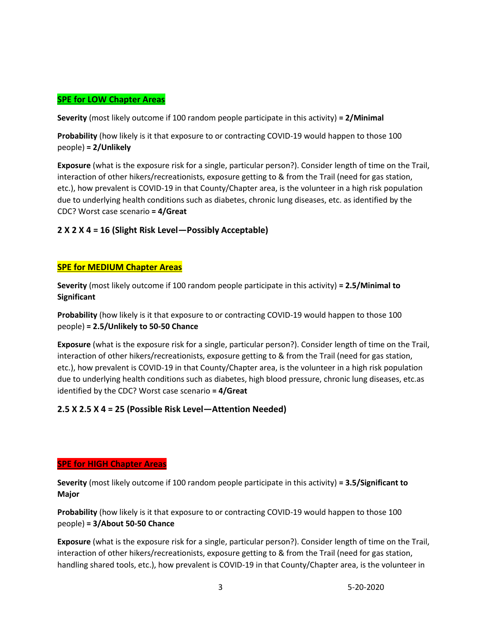# **SPE for LOW Chapter Areas**

**Severity** (most likely outcome if 100 random people participate in this activity) **= 2/Minimal**

**Probability** (how likely is it that exposure to or contracting COVID-19 would happen to those 100 people) **= 2/Unlikely**

**Exposure** (what is the exposure risk for a single, particular person?). Consider length of time on the Trail, interaction of other hikers/recreationists, exposure getting to & from the Trail (need for gas station, etc.), how prevalent is COVID-19 in that County/Chapter area, is the volunteer in a high risk population due to underlying health conditions such as diabetes, chronic lung diseases, etc. as identified by the CDC? Worst case scenario **= 4/Great**

### **2 X 2 X 4 = 16 (Slight Risk Level—Possibly Acceptable)**

### **SPE for MEDIUM Chapter Areas**

**Severity** (most likely outcome if 100 random people participate in this activity) **= 2.5/Minimal to Significant**

**Probability** (how likely is it that exposure to or contracting COVID-19 would happen to those 100 people) **= 2.5/Unlikely to 50-50 Chance**

**Exposure** (what is the exposure risk for a single, particular person?). Consider length of time on the Trail, interaction of other hikers/recreationists, exposure getting to & from the Trail (need for gas station, etc.), how prevalent is COVID-19 in that County/Chapter area, is the volunteer in a high risk population due to underlying health conditions such as diabetes, high blood pressure, chronic lung diseases, etc.as identified by the CDC? Worst case scenario **= 4/Great**

### **2.5 X 2.5 X 4 = 25 (Possible Risk Level—Attention Needed)**

#### **SPE for HIGH Chapter Areas**

**Severity** (most likely outcome if 100 random people participate in this activity) **= 3.5/Significant to Major**

**Probability** (how likely is it that exposure to or contracting COVID-19 would happen to those 100 people) **= 3/About 50-50 Chance**

**Exposure** (what is the exposure risk for a single, particular person?). Consider length of time on the Trail, interaction of other hikers/recreationists, exposure getting to & from the Trail (need for gas station, handling shared tools, etc.), how prevalent is COVID-19 in that County/Chapter area, is the volunteer in